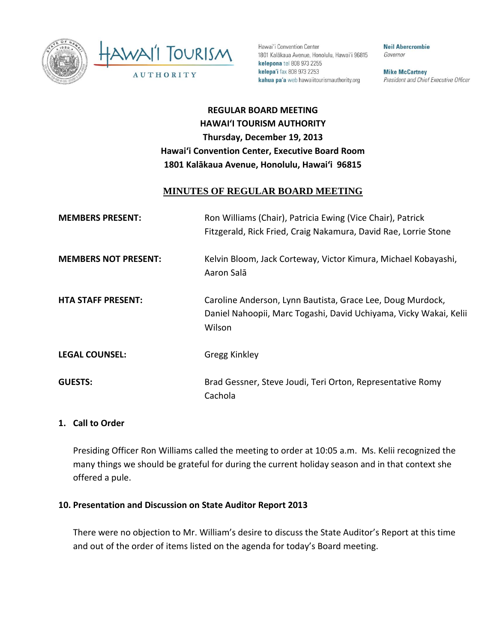



Hawai'i Convention Center 1801 Kalākaua Avenue, Honolulu, Hawai'i 96815 kelepona tel 808 973 2255 kelepa'i fax 808 973 2253 kahua pa'a web hawaiitourismauthority.org

**Neil Abercrombie** Governor

**Mike McCartney** President and Chief Executive Officer

# **REGULAR BOARD MEETING HAWAI'I TOURISM AUTHORITY Thursday, December 19, 2013 Hawai'i Convention Center, Executive Board Room 1801 Kalākaua Avenue, Honolulu, Hawai'i 96815**

## **MINUTES OF REGULAR BOARD MEETING**

| <b>MEMBERS PRESENT:</b>     | Ron Williams (Chair), Patricia Ewing (Vice Chair), Patrick<br>Fitzgerald, Rick Fried, Craig Nakamura, David Rae, Lorrie Stone             |
|-----------------------------|-------------------------------------------------------------------------------------------------------------------------------------------|
| <b>MEMBERS NOT PRESENT:</b> | Kelvin Bloom, Jack Corteway, Victor Kimura, Michael Kobayashi,<br>Aaron Salā                                                              |
| <b>HTA STAFF PRESENT:</b>   | Caroline Anderson, Lynn Bautista, Grace Lee, Doug Murdock,<br>Daniel Nahoopii, Marc Togashi, David Uchiyama, Vicky Wakai, Kelii<br>Wilson |
| <b>LEGAL COUNSEL:</b>       | Gregg Kinkley                                                                                                                             |
| <b>GUESTS:</b>              | Brad Gessner, Steve Joudi, Teri Orton, Representative Romy<br>Cachola                                                                     |

#### **1. Call to Order**

Presiding Officer Ron Williams called the meeting to order at 10:05 a.m. Ms. Kelii recognized the many things we should be grateful for during the current holiday season and in that context she offered a pule.

#### **10. Presentation and Discussion on State Auditor Report 2013**

There were no objection to Mr. William's desire to discuss the State Auditor's Report at this time and out of the order of items listed on the agenda for today's Board meeting.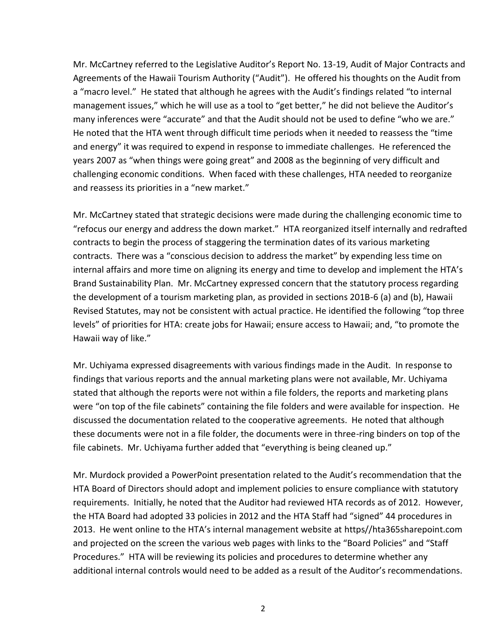Mr. McCartney referred to the Legislative Auditor's Report No. 13-19, Audit of Major Contracts and Agreements of the Hawaii Tourism Authority ("Audit"). He offered his thoughts on the Audit from a "macro level." He stated that although he agrees with the Audit's findings related "to internal management issues," which he will use as a tool to "get better," he did not believe the Auditor's many inferences were "accurate" and that the Audit should not be used to define "who we are." He noted that the HTA went through difficult time periods when it needed to reassess the "time and energy" it was required to expend in response to immediate challenges. He referenced the years 2007 as "when things were going great" and 2008 as the beginning of very difficult and challenging economic conditions. When faced with these challenges, HTA needed to reorganize and reassess its priorities in a "new market."

Mr. McCartney stated that strategic decisions were made during the challenging economic time to "refocus our energy and address the down market." HTA reorganized itself internally and redrafted contracts to begin the process of staggering the termination dates of its various marketing contracts. There was a "conscious decision to address the market" by expending less time on internal affairs and more time on aligning its energy and time to develop and implement the HTA's Brand Sustainability Plan. Mr. McCartney expressed concern that the statutory process regarding the development of a tourism marketing plan, as provided in sections 201B-6 (a) and (b), Hawaii Revised Statutes, may not be consistent with actual practice. He identified the following "top three levels" of priorities for HTA: create jobs for Hawaii; ensure access to Hawaii; and, "to promote the Hawaii way of like."

Mr. Uchiyama expressed disagreements with various findings made in the Audit. In response to findings that various reports and the annual marketing plans were not available, Mr. Uchiyama stated that although the reports were not within a file folders, the reports and marketing plans were "on top of the file cabinets" containing the file folders and were available for inspection. He discussed the documentation related to the cooperative agreements. He noted that although these documents were not in a file folder, the documents were in three-ring binders on top of the file cabinets. Mr. Uchiyama further added that "everything is being cleaned up."

Mr. Murdock provided a PowerPoint presentation related to the Audit's recommendation that the HTA Board of Directors should adopt and implement policies to ensure compliance with statutory requirements. Initially, he noted that the Auditor had reviewed HTA records as of 2012. However, the HTA Board had adopted 33 policies in 2012 and the HTA Staff had "signed" 44 procedures in 2013. He went online to the HTA's internal management website at https//hta365sharepoint.com and projected on the screen the various web pages with links to the "Board Policies" and "Staff Procedures." HTA will be reviewing its policies and procedures to determine whether any additional internal controls would need to be added as a result of the Auditor's recommendations.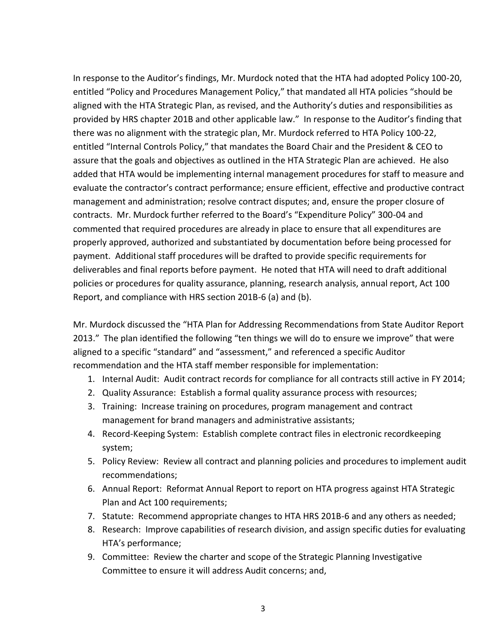In response to the Auditor's findings, Mr. Murdock noted that the HTA had adopted Policy 100-20, entitled "Policy and Procedures Management Policy," that mandated all HTA policies "should be aligned with the HTA Strategic Plan, as revised, and the Authority's duties and responsibilities as provided by HRS chapter 201B and other applicable law." In response to the Auditor's finding that there was no alignment with the strategic plan, Mr. Murdock referred to HTA Policy 100-22, entitled "Internal Controls Policy," that mandates the Board Chair and the President & CEO to assure that the goals and objectives as outlined in the HTA Strategic Plan are achieved. He also added that HTA would be implementing internal management procedures for staff to measure and evaluate the contractor's contract performance; ensure efficient, effective and productive contract management and administration; resolve contract disputes; and, ensure the proper closure of contracts. Mr. Murdock further referred to the Board's "Expenditure Policy" 300-04 and commented that required procedures are already in place to ensure that all expenditures are properly approved, authorized and substantiated by documentation before being processed for payment. Additional staff procedures will be drafted to provide specific requirements for deliverables and final reports before payment. He noted that HTA will need to draft additional policies or procedures for quality assurance, planning, research analysis, annual report, Act 100 Report, and compliance with HRS section 201B-6 (a) and (b).

Mr. Murdock discussed the "HTA Plan for Addressing Recommendations from State Auditor Report 2013." The plan identified the following "ten things we will do to ensure we improve" that were aligned to a specific "standard" and "assessment," and referenced a specific Auditor recommendation and the HTA staff member responsible for implementation:

- 1. Internal Audit: Audit contract records for compliance for all contracts still active in FY 2014;
- 2. Quality Assurance: Establish a formal quality assurance process with resources;
- 3. Training: Increase training on procedures, program management and contract management for brand managers and administrative assistants;
- 4. Record-Keeping System: Establish complete contract files in electronic recordkeeping system;
- 5. Policy Review: Review all contract and planning policies and procedures to implement audit recommendations;
- 6. Annual Report: Reformat Annual Report to report on HTA progress against HTA Strategic Plan and Act 100 requirements;
- 7. Statute: Recommend appropriate changes to HTA HRS 201B-6 and any others as needed;
- 8. Research: Improve capabilities of research division, and assign specific duties for evaluating HTA's performance;
- 9. Committee: Review the charter and scope of the Strategic Planning Investigative Committee to ensure it will address Audit concerns; and,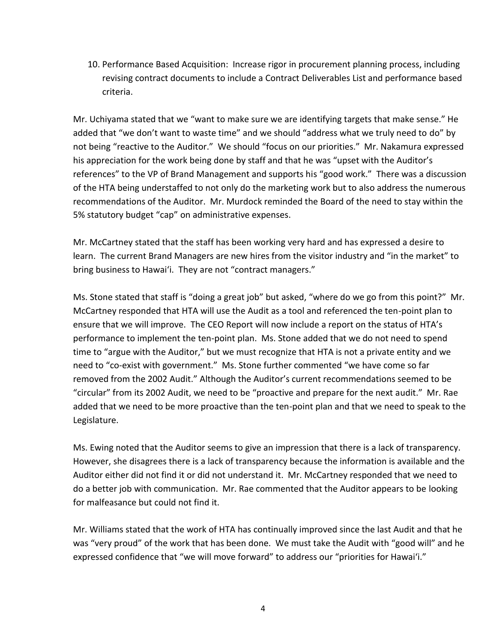10. Performance Based Acquisition: Increase rigor in procurement planning process, including revising contract documents to include a Contract Deliverables List and performance based criteria.

Mr. Uchiyama stated that we "want to make sure we are identifying targets that make sense." He added that "we don't want to waste time" and we should "address what we truly need to do" by not being "reactive to the Auditor." We should "focus on our priorities." Mr. Nakamura expressed his appreciation for the work being done by staff and that he was "upset with the Auditor's references" to the VP of Brand Management and supports his "good work." There was a discussion of the HTA being understaffed to not only do the marketing work but to also address the numerous recommendations of the Auditor. Mr. Murdock reminded the Board of the need to stay within the 5% statutory budget "cap" on administrative expenses.

Mr. McCartney stated that the staff has been working very hard and has expressed a desire to learn. The current Brand Managers are new hires from the visitor industry and "in the market" to bring business to Hawai'i. They are not "contract managers."

Ms. Stone stated that staff is "doing a great job" but asked, "where do we go from this point?" Mr. McCartney responded that HTA will use the Audit as a tool and referenced the ten-point plan to ensure that we will improve. The CEO Report will now include a report on the status of HTA's performance to implement the ten-point plan. Ms. Stone added that we do not need to spend time to "argue with the Auditor," but we must recognize that HTA is not a private entity and we need to "co-exist with government." Ms. Stone further commented "we have come so far removed from the 2002 Audit." Although the Auditor's current recommendations seemed to be "circular" from its 2002 Audit, we need to be "proactive and prepare for the next audit." Mr. Rae added that we need to be more proactive than the ten-point plan and that we need to speak to the Legislature.

Ms. Ewing noted that the Auditor seems to give an impression that there is a lack of transparency. However, she disagrees there is a lack of transparency because the information is available and the Auditor either did not find it or did not understand it. Mr. McCartney responded that we need to do a better job with communication. Mr. Rae commented that the Auditor appears to be looking for malfeasance but could not find it.

Mr. Williams stated that the work of HTA has continually improved since the last Audit and that he was "very proud" of the work that has been done. We must take the Audit with "good will" and he expressed confidence that "we will move forward" to address our "priorities for Hawai'i."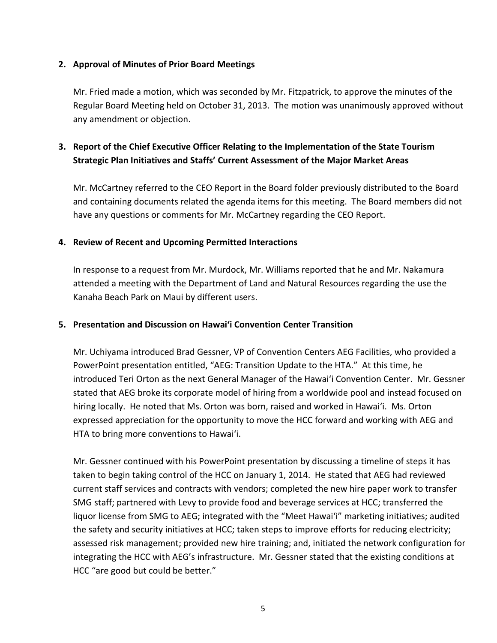### **2. Approval of Minutes of Prior Board Meetings**

Mr. Fried made a motion, which was seconded by Mr. Fitzpatrick, to approve the minutes of the Regular Board Meeting held on October 31, 2013. The motion was unanimously approved without any amendment or objection.

## **3. Report of the Chief Executive Officer Relating to the Implementation of the State Tourism Strategic Plan Initiatives and Staffs' Current Assessment of the Major Market Areas**

Mr. McCartney referred to the CEO Report in the Board folder previously distributed to the Board and containing documents related the agenda items for this meeting. The Board members did not have any questions or comments for Mr. McCartney regarding the CEO Report.

#### **4. Review of Recent and Upcoming Permitted Interactions**

In response to a request from Mr. Murdock, Mr. Williams reported that he and Mr. Nakamura attended a meeting with the Department of Land and Natural Resources regarding the use the Kanaha Beach Park on Maui by different users.

#### **5. Presentation and Discussion on Hawai'i Convention Center Transition**

Mr. Uchiyama introduced Brad Gessner, VP of Convention Centers AEG Facilities, who provided a PowerPoint presentation entitled, "AEG: Transition Update to the HTA." At this time, he introduced Teri Orton as the next General Manager of the Hawai'i Convention Center. Mr. Gessner stated that AEG broke its corporate model of hiring from a worldwide pool and instead focused on hiring locally. He noted that Ms. Orton was born, raised and worked in Hawai'i. Ms. Orton expressed appreciation for the opportunity to move the HCC forward and working with AEG and HTA to bring more conventions to Hawai'i.

Mr. Gessner continued with his PowerPoint presentation by discussing a timeline of steps it has taken to begin taking control of the HCC on January 1, 2014. He stated that AEG had reviewed current staff services and contracts with vendors; completed the new hire paper work to transfer SMG staff; partnered with Levy to provide food and beverage services at HCC; transferred the liquor license from SMG to AEG; integrated with the "Meet Hawai'i" marketing initiatives; audited the safety and security initiatives at HCC; taken steps to improve efforts for reducing electricity; assessed risk management; provided new hire training; and, initiated the network configuration for integrating the HCC with AEG's infrastructure. Mr. Gessner stated that the existing conditions at HCC "are good but could be better."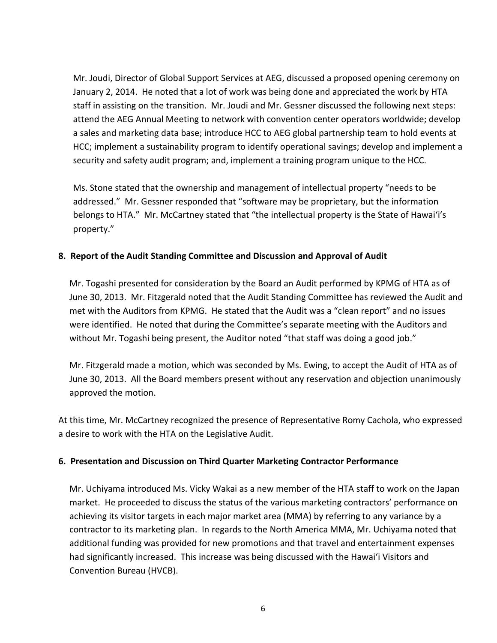Mr. Joudi, Director of Global Support Services at AEG, discussed a proposed opening ceremony on January 2, 2014. He noted that a lot of work was being done and appreciated the work by HTA staff in assisting on the transition. Mr. Joudi and Mr. Gessner discussed the following next steps: attend the AEG Annual Meeting to network with convention center operators worldwide; develop a sales and marketing data base; introduce HCC to AEG global partnership team to hold events at HCC; implement a sustainability program to identify operational savings; develop and implement a security and safety audit program; and, implement a training program unique to the HCC.

Ms. Stone stated that the ownership and management of intellectual property "needs to be addressed." Mr. Gessner responded that "software may be proprietary, but the information belongs to HTA." Mr. McCartney stated that "the intellectual property is the State of Hawai'i's property."

## **8. Report of the Audit Standing Committee and Discussion and Approval of Audit**

Mr. Togashi presented for consideration by the Board an Audit performed by KPMG of HTA as of June 30, 2013. Mr. Fitzgerald noted that the Audit Standing Committee has reviewed the Audit and met with the Auditors from KPMG. He stated that the Audit was a "clean report" and no issues were identified. He noted that during the Committee's separate meeting with the Auditors and without Mr. Togashi being present, the Auditor noted "that staff was doing a good job."

Mr. Fitzgerald made a motion, which was seconded by Ms. Ewing, to accept the Audit of HTA as of June 30, 2013. All the Board members present without any reservation and objection unanimously approved the motion.

At this time, Mr. McCartney recognized the presence of Representative Romy Cachola, who expressed a desire to work with the HTA on the Legislative Audit.

## **6. Presentation and Discussion on Third Quarter Marketing Contractor Performance**

Mr. Uchiyama introduced Ms. Vicky Wakai as a new member of the HTA staff to work on the Japan market. He proceeded to discuss the status of the various marketing contractors' performance on achieving its visitor targets in each major market area (MMA) by referring to any variance by a contractor to its marketing plan. In regards to the North America MMA, Mr. Uchiyama noted that additional funding was provided for new promotions and that travel and entertainment expenses had significantly increased. This increase was being discussed with the Hawai'i Visitors and Convention Bureau (HVCB).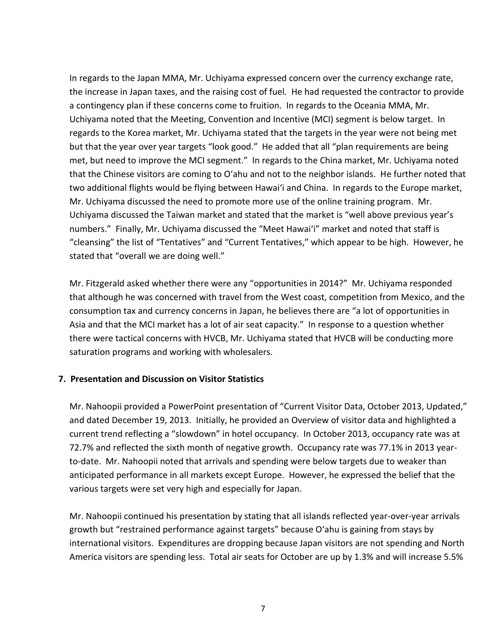In regards to the Japan MMA, Mr. Uchiyama expressed concern over the currency exchange rate, the increase in Japan taxes, and the raising cost of fuel. He had requested the contractor to provide a contingency plan if these concerns come to fruition. In regards to the Oceania MMA, Mr. Uchiyama noted that the Meeting, Convention and Incentive (MCI) segment is below target. In regards to the Korea market, Mr. Uchiyama stated that the targets in the year were not being met but that the year over year targets "look good." He added that all "plan requirements are being met, but need to improve the MCI segment." In regards to the China market, Mr. Uchiyama noted that the Chinese visitors are coming to O'ahu and not to the neighbor islands. He further noted that two additional flights would be flying between Hawai'i and China. In regards to the Europe market, Mr. Uchiyama discussed the need to promote more use of the online training program. Mr. Uchiyama discussed the Taiwan market and stated that the market is "well above previous year's numbers." Finally, Mr. Uchiyama discussed the "Meet Hawai'i" market and noted that staff is "cleansing" the list of "Tentatives" and "Current Tentatives," which appear to be high. However, he stated that "overall we are doing well."

Mr. Fitzgerald asked whether there were any "opportunities in 2014?" Mr. Uchiyama responded that although he was concerned with travel from the West coast, competition from Mexico, and the consumption tax and currency concerns in Japan, he believes there are "a lot of opportunities in Asia and that the MCI market has a lot of air seat capacity." In response to a question whether there were tactical concerns with HVCB, Mr. Uchiyama stated that HVCB will be conducting more saturation programs and working with wholesalers.

## **7. Presentation and Discussion on Visitor Statistics**

Mr. Nahoopii provided a PowerPoint presentation of "Current Visitor Data, October 2013, Updated," and dated December 19, 2013. Initially, he provided an Overview of visitor data and highlighted a current trend reflecting a "slowdown" in hotel occupancy. In October 2013, occupancy rate was at 72.7% and reflected the sixth month of negative growth. Occupancy rate was 77.1% in 2013 yearto-date. Mr. Nahoopii noted that arrivals and spending were below targets due to weaker than anticipated performance in all markets except Europe. However, he expressed the belief that the various targets were set very high and especially for Japan.

Mr. Nahoopii continued his presentation by stating that all islands reflected year-over-year arrivals growth but "restrained performance against targets" because O'ahu is gaining from stays by international visitors. Expenditures are dropping because Japan visitors are not spending and North America visitors are spending less. Total air seats for October are up by 1.3% and will increase 5.5%